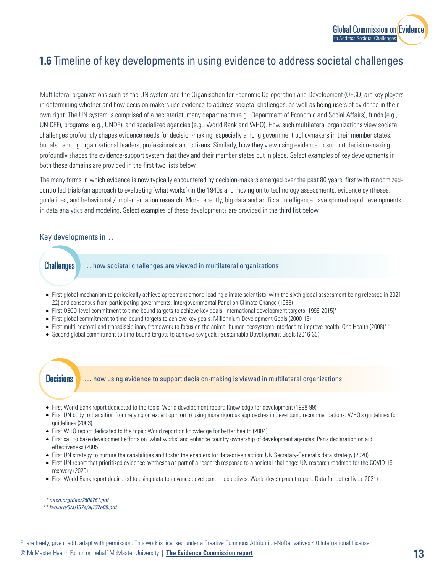

# **1.6** Timeline of key developments in using evidence to address societal challenges

Multilateral organizations such as the UN system and the Organisation for Economic Co-operation and Development (OECD) are key players in determining whether and how decision-makers use evidence to address societal challenges, as well as being users of evidence in their own right. The UN system is comprised of a secretariat, many departments (e.g., Department of Economic and Social Affairs), funds (e.g., UNICEF), programs (e.g., UNDP), and specialized agencies (e.g., World Bank and WHO). How such multilateral organizations view societal challenges profoundly shapes evidence needs for decision-making, especially among government policymakers in their member states, but also among organizational leaders, professionals and citizens. Similarly, how they view using evidence to support decision-making profoundly shapes the evidence-support system that they and their member states put in place. Select examples of key developments in both these domains are provided in the first two lists below.

The many forms in which evidence is now typically encountered by decision-makers emerged over the past 80 years, first with randomizedcontrolled trials (an approach to evaluating 'what works') in the 1940s and moving on to technology assessments, evidence syntheses, guidelines, and behavioural / implementation research. More recently, big data and artificial intelligence have spurred rapid developments in data analytics and modeling. Select examples of these developments are provided in the third list below.

### Key developments in…

- ... how societal challenges are viewed in multilateral organizations **Challenges**
- First global mechanism to periodically achieve agreement among leading climate scientists (with the sixth global assessment being released in 2021- 22) and consensus from participating governments: Intergovernmental Panel on Climate Change (1988)
- First OECD-level commitment to time-bound targets to achieve key goals: International development targets (1996-2015)\*
- First global commitment to time-bound targets to achieve key goals: Millennium Development Goals (2000-15)
- First multi-sectoral and transdisciplinary framework to focus on the animal-human-ecosystems interface to improve health: One Health (2008)\*\*
- Second global commitment to time-bound targets to achieve key goals: Sustainable Development Goals (2016-30)

## **Decisions**

… how using evidence to support decision-making is viewed in multilateral organizations

- First World Bank report dedicated to the topic: World development report: Knowledge for development (1998-99)
- First UN body to transition from relying on expert opinion to using more rigorous approaches in developing recommendations: WHO's guidelines for guidelines (2003)
- First WHO report dedicated to the topic: World report on knowledge for better health (2004)
- First call to base development efforts on 'what works' and enhance country ownership of development agendas: Paris declaration on aid effectiveness (2005)
- First UN strategy to nurture the capabilities and foster the enablers for data-driven action: UN Secretary-General's data strategy (2020)
- First UN report that prioritized evidence syntheses as part of a research response to a societal challenge: UN research roadmap for the COVID-19 recovery (2020)
- First World Bank report dedicated to using data to advance development objectives: World development report: Data for better lives (2021)

*\* [oecd.org/dac/2508761.pdf](https://www.oecd.org/dac/2508761.pdf)*

*\*\* [fao.org/3/aj137e/aj137e00.pdf](https://www.fao.org/3/aj137e/aj137e00.pdf)*